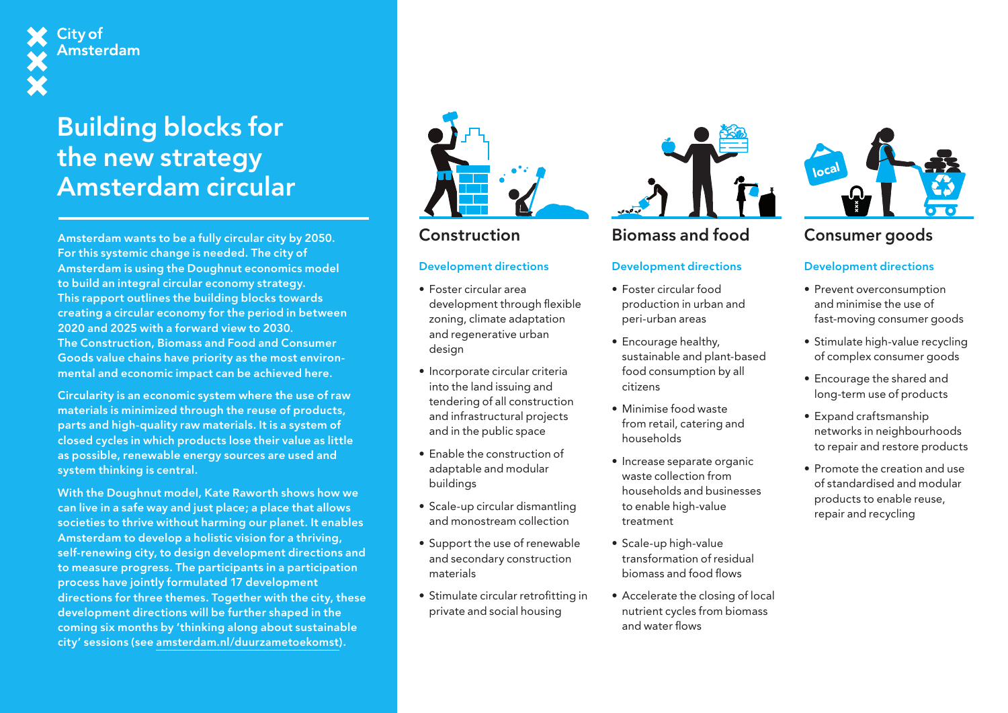## City of **Amsterdam**

## Building blocks for the new strategy Amsterdam circular

Amsterdam wants to be a fully circular city by 2050. For this systemic change is needed. The city of Amsterdam is using the Doughnut economics model to build an integral circular economy strategy. This rapport outlines the building blocks towards creating a circular economy for the period in between 2020 and 2025 with a forward view to 2030. The Construction, Biomass and Food and Consumer Goods value chains have priority as the most environmental and economic impact can be achieved here.

Circularity is an economic system where the use of raw materials is minimized through the reuse of products, parts and high-quality raw materials. It is a system of closed cycles in which products lose their value as little as possible, renewable energy sources are used and system thinking is central.

With the Doughnut model, Kate Raworth shows how we can live in a safe way and just place; a place that allows societies to thrive without harming our planet. It enables Amsterdam to develop a holistic vision for a thriving, self-renewing city, to design development directions and to measure progress. The participants in a participation process have jointly formulated 17 development directions for three themes. Together with the city, these development directions will be further shaped in the coming six months by 'thinking along about sustainable city' sessions (see [amsterdam.nl/duurzametoekomst](http://amsterdam.nl/duurzametoekomst)).



## Construction

# CONSTRUCTION BIOMASS AND TOOD<br>
Development directions Development directions

- Foster circular area development through flexible zoning, climate adaptation and regenerative urban design Bouw Biomassa
	- Incorporate circular criteria into the land issuing and tendering of all construction and infrastructural projects and in the public space
	- Enable the construction of adaptable and modular buildings
	- Scale-up circular dismantling and monostream collection
	- Support the use of renewable and secondary construction materials
	- Stimulate circular retrofitting in private and social housing



## Biomass and food

## Development directions<br>

- Foster circular food production in urban and peri-urban areas
- Encourage healthy, sustainable and plant-based food consumption by all citizens
- Minimise food waste from retail, catering and households
- Increase separate organic waste collection from households and businesses to enable high-value treatment
- Scale-up high-value transformation of residual biomass and food flows
- Accelerate the closing of local nutrient cycles from biomass and water flows



### consumers we Consumer goods

## Development directions

- en voerconsumption<br>
en voerconsumption and minimise the use of fast-moving consumer goods
	- Stimulate high-value recycling of complex consumer goods
	- Encourage the shared and long-term use of products
	- Expand craftsmanship networks in neighbourhoods to repair and restore products
	- Promote the creation and use of standardised and modular products to enable reuse, repair and recycling